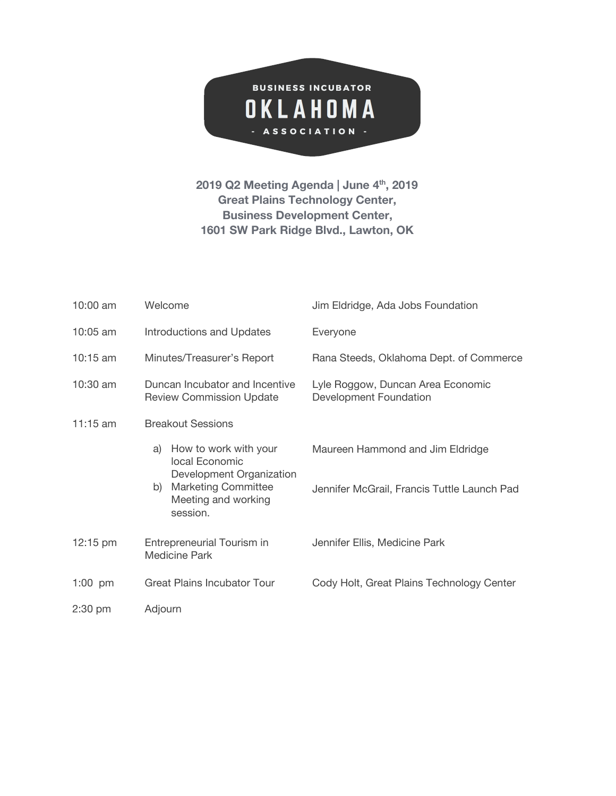

**2019 Q2 Meeting Agenda | June 4 th , 2019 Great Plains Technology Center, Business Development Center, 1601 SW Park Ridge Blvd., Lawton, OK**

| $10:00$ am | Welcome                                                                                                                                          | Jim Eldridge, Ada Jobs Foundation                                               |
|------------|--------------------------------------------------------------------------------------------------------------------------------------------------|---------------------------------------------------------------------------------|
| $10:05$ am | <b>Introductions and Updates</b>                                                                                                                 | Everyone                                                                        |
| $10:15$ am | Minutes/Treasurer's Report                                                                                                                       | Rana Steeds, Oklahoma Dept. of Commerce                                         |
| 10:30 am   | Duncan Incubator and Incentive<br><b>Review Commission Update</b>                                                                                | Lyle Roggow, Duncan Area Economic<br>Development Foundation                     |
| 11:15 am   | <b>Breakout Sessions</b>                                                                                                                         |                                                                                 |
|            | How to work with your<br>a)<br>local Economic<br>Development Organization<br><b>Marketing Committee</b><br>b)<br>Meeting and working<br>session. | Maureen Hammond and Jim Eldridge<br>Jennifer McGrail, Francis Tuttle Launch Pad |
| 12:15 pm   | Entrepreneurial Tourism in<br><b>Medicine Park</b>                                                                                               | Jennifer Ellis, Medicine Park                                                   |
| $1:00$ pm  | <b>Great Plains Incubator Tour</b>                                                                                                               | Cody Holt, Great Plains Technology Center                                       |
| $2:30$ pm  | Adjourn                                                                                                                                          |                                                                                 |